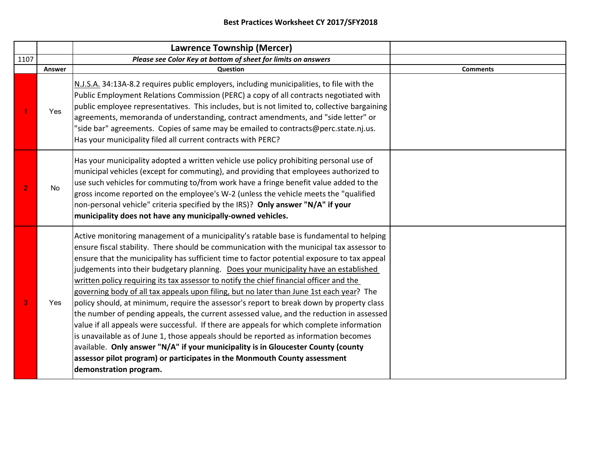|                |        | <b>Lawrence Township (Mercer)</b>                                                                                                                                                                                                                                                                                                                                                                                                                                                                                                                                                                                                                                                                                                                                                                                                                                                                                                                                                                                                                                                                                                           |                 |
|----------------|--------|---------------------------------------------------------------------------------------------------------------------------------------------------------------------------------------------------------------------------------------------------------------------------------------------------------------------------------------------------------------------------------------------------------------------------------------------------------------------------------------------------------------------------------------------------------------------------------------------------------------------------------------------------------------------------------------------------------------------------------------------------------------------------------------------------------------------------------------------------------------------------------------------------------------------------------------------------------------------------------------------------------------------------------------------------------------------------------------------------------------------------------------------|-----------------|
| 1107           |        | Please see Color Key at bottom of sheet for limits on answers                                                                                                                                                                                                                                                                                                                                                                                                                                                                                                                                                                                                                                                                                                                                                                                                                                                                                                                                                                                                                                                                               |                 |
|                | Answer | Question                                                                                                                                                                                                                                                                                                                                                                                                                                                                                                                                                                                                                                                                                                                                                                                                                                                                                                                                                                                                                                                                                                                                    | <b>Comments</b> |
|                | Yes    | N.J.S.A. 34:13A-8.2 requires public employers, including municipalities, to file with the<br>Public Employment Relations Commission (PERC) a copy of all contracts negotiated with<br>public employee representatives. This includes, but is not limited to, collective bargaining<br>agreements, memoranda of understanding, contract amendments, and "side letter" or<br>"side bar" agreements. Copies of same may be emailed to contracts@perc.state.nj.us.<br>Has your municipality filed all current contracts with PERC?                                                                                                                                                                                                                                                                                                                                                                                                                                                                                                                                                                                                              |                 |
| $\overline{2}$ | No     | Has your municipality adopted a written vehicle use policy prohibiting personal use of<br>municipal vehicles (except for commuting), and providing that employees authorized to<br>use such vehicles for commuting to/from work have a fringe benefit value added to the<br>gross income reported on the employee's W-2 (unless the vehicle meets the "qualified<br>non-personal vehicle" criteria specified by the IRS)? Only answer "N/A" if your<br>municipality does not have any municipally-owned vehicles.                                                                                                                                                                                                                                                                                                                                                                                                                                                                                                                                                                                                                           |                 |
| 3              | Yes    | Active monitoring management of a municipality's ratable base is fundamental to helping<br>ensure fiscal stability. There should be communication with the municipal tax assessor to<br>ensure that the municipality has sufficient time to factor potential exposure to tax appeal<br>judgements into their budgetary planning. Does your municipality have an established<br>written policy requiring its tax assessor to notify the chief financial officer and the<br>governing body of all tax appeals upon filing, but no later than June 1st each year? The<br>policy should, at minimum, require the assessor's report to break down by property class<br>the number of pending appeals, the current assessed value, and the reduction in assessed<br>value if all appeals were successful. If there are appeals for which complete information<br>is unavailable as of June 1, those appeals should be reported as information becomes<br>available. Only answer "N/A" if your municipality is in Gloucester County (county<br>assessor pilot program) or participates in the Monmouth County assessment<br>demonstration program. |                 |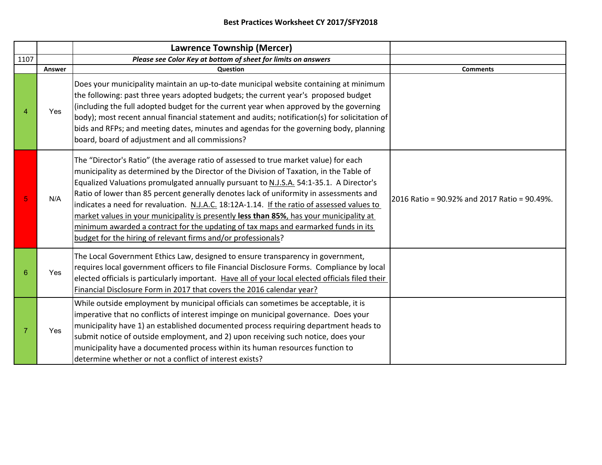|      |            | Lawrence Township (Mercer)                                                                                                                                                                                                                                                                                                                                                                                                                                                                                                                                                                                                                                                                                          |                                              |
|------|------------|---------------------------------------------------------------------------------------------------------------------------------------------------------------------------------------------------------------------------------------------------------------------------------------------------------------------------------------------------------------------------------------------------------------------------------------------------------------------------------------------------------------------------------------------------------------------------------------------------------------------------------------------------------------------------------------------------------------------|----------------------------------------------|
| 1107 |            | Please see Color Key at bottom of sheet for limits on answers                                                                                                                                                                                                                                                                                                                                                                                                                                                                                                                                                                                                                                                       |                                              |
|      | Answer     | <b>Question</b>                                                                                                                                                                                                                                                                                                                                                                                                                                                                                                                                                                                                                                                                                                     | <b>Comments</b>                              |
|      | <b>Yes</b> | Does your municipality maintain an up-to-date municipal website containing at minimum<br>the following: past three years adopted budgets; the current year's proposed budget<br>(including the full adopted budget for the current year when approved by the governing<br>[body); most recent annual financial statement and audits; notification(s) for solicitation of<br>bids and RFPs; and meeting dates, minutes and agendas for the governing body, planning<br>board, board of adjustment and all commissions?                                                                                                                                                                                               |                                              |
|      | N/A        | The "Director's Ratio" (the average ratio of assessed to true market value) for each<br>municipality as determined by the Director of the Division of Taxation, in the Table of<br>Equalized Valuations promulgated annually pursuant to N.J.S.A. 54:1-35.1. A Director's<br>Ratio of lower than 85 percent generally denotes lack of uniformity in assessments and<br>indicates a need for revaluation. N.J.A.C. 18:12A-1.14. If the ratio of assessed values to<br>market values in your municipality is presently less than 85%, has your municipality at<br>minimum awarded a contract for the updating of tax maps and earmarked funds in its<br>budget for the hiring of relevant firms and/or professionals? | 2016 Ratio = 90.92% and 2017 Ratio = 90.49%. |
| 6    | Yes        | The Local Government Ethics Law, designed to ensure transparency in government,<br>requires local government officers to file Financial Disclosure Forms. Compliance by local<br>elected officials is particularly important. Have all of your local elected officials filed their<br>Financial Disclosure Form in 2017 that covers the 2016 calendar year?                                                                                                                                                                                                                                                                                                                                                         |                                              |
|      | Yes        | While outside employment by municipal officials can sometimes be acceptable, it is<br>imperative that no conflicts of interest impinge on municipal governance. Does your<br>municipality have 1) an established documented process requiring department heads to<br>submit notice of outside employment, and 2) upon receiving such notice, does your<br>municipality have a documented process within its human resources function to<br>determine whether or not a conflict of interest exists?                                                                                                                                                                                                                  |                                              |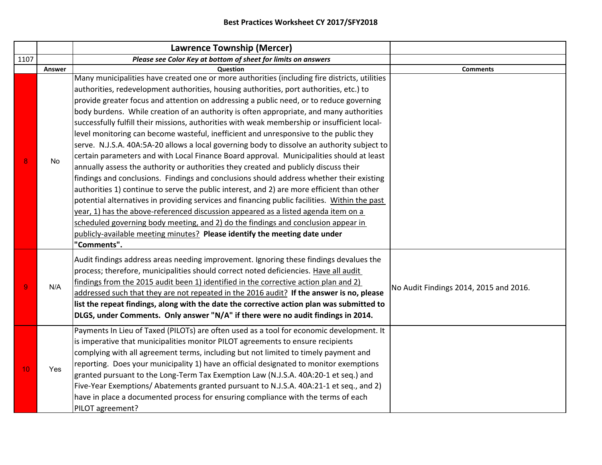|                 |            | <b>Lawrence Township (Mercer)</b>                                                                                                                                      |                                        |
|-----------------|------------|------------------------------------------------------------------------------------------------------------------------------------------------------------------------|----------------------------------------|
| 1107            |            | Please see Color Key at bottom of sheet for limits on answers                                                                                                          |                                        |
|                 | Answer     | Question                                                                                                                                                               | <b>Comments</b>                        |
|                 |            | Many municipalities have created one or more authorities (including fire districts, utilities                                                                          |                                        |
|                 |            | authorities, redevelopment authorities, housing authorities, port authorities, etc.) to                                                                                |                                        |
|                 |            | provide greater focus and attention on addressing a public need, or to reduce governing                                                                                |                                        |
|                 |            | body burdens. While creation of an authority is often appropriate, and many authorities                                                                                |                                        |
|                 |            | successfully fulfill their missions, authorities with weak membership or insufficient local-                                                                           |                                        |
|                 |            | level monitoring can become wasteful, inefficient and unresponsive to the public they                                                                                  |                                        |
|                 |            | serve. N.J.S.A. 40A:5A-20 allows a local governing body to dissolve an authority subject to                                                                            |                                        |
| 8               | No         | certain parameters and with Local Finance Board approval. Municipalities should at least                                                                               |                                        |
|                 |            | annually assess the authority or authorities they created and publicly discuss their                                                                                   |                                        |
|                 |            | findings and conclusions. Findings and conclusions should address whether their existing                                                                               |                                        |
|                 |            | authorities 1) continue to serve the public interest, and 2) are more efficient than other                                                                             |                                        |
|                 |            | potential alternatives in providing services and financing public facilities. Within the past                                                                          |                                        |
|                 |            | year, 1) has the above-referenced discussion appeared as a listed agenda item on a                                                                                     |                                        |
|                 |            | scheduled governing body meeting, and 2) do the findings and conclusion appear in                                                                                      |                                        |
|                 |            | publicly-available meeting minutes? Please identify the meeting date under                                                                                             |                                        |
|                 |            | "Comments".                                                                                                                                                            |                                        |
|                 |            | Audit findings address areas needing improvement. Ignoring these findings devalues the                                                                                 |                                        |
|                 |            | process; therefore, municipalities should correct noted deficiencies. Have all audit                                                                                   |                                        |
|                 |            | findings from the 2015 audit been 1) identified in the corrective action plan and 2)                                                                                   |                                        |
| $\overline{9}$  | N/A        | addressed such that they are not repeated in the 2016 audit? If the answer is no, please                                                                               | No Audit Findings 2014, 2015 and 2016. |
|                 |            | list the repeat findings, along with the date the corrective action plan was submitted to                                                                              |                                        |
|                 |            | DLGS, under Comments. Only answer "N/A" if there were no audit findings in 2014.                                                                                       |                                        |
|                 |            |                                                                                                                                                                        |                                        |
|                 |            | Payments In Lieu of Taxed (PILOTs) are often used as a tool for economic development. It                                                                               |                                        |
|                 |            | is imperative that municipalities monitor PILOT agreements to ensure recipients<br>complying with all agreement terms, including but not limited to timely payment and |                                        |
|                 |            |                                                                                                                                                                        |                                        |
| 10 <sub>1</sub> | <b>Yes</b> | reporting. Does your municipality 1) have an official designated to monitor exemptions                                                                                 |                                        |
|                 |            | granted pursuant to the Long-Term Tax Exemption Law (N.J.S.A. 40A:20-1 et seq.) and                                                                                    |                                        |
|                 |            | Five-Year Exemptions/Abatements granted pursuant to N.J.S.A. 40A:21-1 et seq., and 2)                                                                                  |                                        |
|                 |            | have in place a documented process for ensuring compliance with the terms of each                                                                                      |                                        |
|                 |            | PILOT agreement?                                                                                                                                                       |                                        |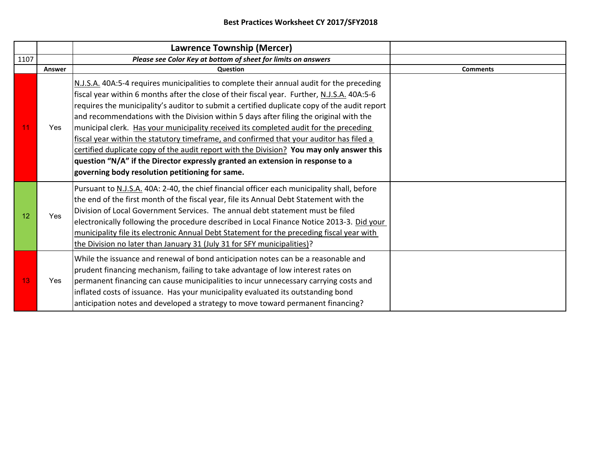|      |            | Lawrence Township (Mercer)                                                                                                                                                                                                                                                                                                                                                                                                                                                                                                                                                                                                                                                                                                                                                                              |                 |
|------|------------|---------------------------------------------------------------------------------------------------------------------------------------------------------------------------------------------------------------------------------------------------------------------------------------------------------------------------------------------------------------------------------------------------------------------------------------------------------------------------------------------------------------------------------------------------------------------------------------------------------------------------------------------------------------------------------------------------------------------------------------------------------------------------------------------------------|-----------------|
| 1107 |            | Please see Color Key at bottom of sheet for limits on answers                                                                                                                                                                                                                                                                                                                                                                                                                                                                                                                                                                                                                                                                                                                                           |                 |
|      | Answer     | Question                                                                                                                                                                                                                                                                                                                                                                                                                                                                                                                                                                                                                                                                                                                                                                                                | <b>Comments</b> |
| 11   | Yes        | N.J.S.A. 40A:5-4 requires municipalities to complete their annual audit for the preceding<br>fiscal year within 6 months after the close of their fiscal year. Further, N.J.S.A. 40A:5-6<br>requires the municipality's auditor to submit a certified duplicate copy of the audit report<br>and recommendations with the Division within 5 days after filing the original with the<br>municipal clerk. Has your municipality received its completed audit for the preceding<br>fiscal year within the statutory timeframe, and confirmed that your auditor has filed a<br>certified duplicate copy of the audit report with the Division? You may only answer this<br>question "N/A" if the Director expressly granted an extension in response to a<br>governing body resolution petitioning for same. |                 |
| 12   | <b>Yes</b> | Pursuant to N.J.S.A. 40A: 2-40, the chief financial officer each municipality shall, before<br>the end of the first month of the fiscal year, file its Annual Debt Statement with the<br>Division of Local Government Services. The annual debt statement must be filed<br>electronically following the procedure described in Local Finance Notice 2013-3. Did your<br>municipality file its electronic Annual Debt Statement for the preceding fiscal year with<br>the Division no later than January 31 (July 31 for SFY municipalities)?                                                                                                                                                                                                                                                            |                 |
| 13   | Yes        | While the issuance and renewal of bond anticipation notes can be a reasonable and<br>prudent financing mechanism, failing to take advantage of low interest rates on<br>permanent financing can cause municipalities to incur unnecessary carrying costs and<br>inflated costs of issuance. Has your municipality evaluated its outstanding bond<br>anticipation notes and developed a strategy to move toward permanent financing?                                                                                                                                                                                                                                                                                                                                                                     |                 |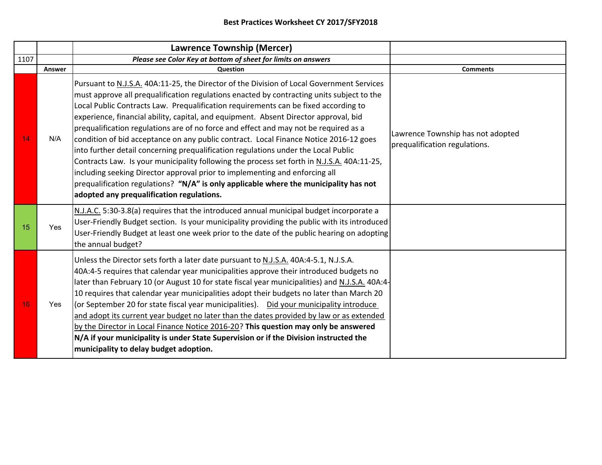|      |        | <b>Lawrence Township (Mercer)</b>                                                                                                                                                                                                                                                                                                                                                                                                                                                                                                                                                                                                                                                                                                                                                                                                                                                                                                                               |                                                                    |
|------|--------|-----------------------------------------------------------------------------------------------------------------------------------------------------------------------------------------------------------------------------------------------------------------------------------------------------------------------------------------------------------------------------------------------------------------------------------------------------------------------------------------------------------------------------------------------------------------------------------------------------------------------------------------------------------------------------------------------------------------------------------------------------------------------------------------------------------------------------------------------------------------------------------------------------------------------------------------------------------------|--------------------------------------------------------------------|
| 1107 |        | Please see Color Key at bottom of sheet for limits on answers                                                                                                                                                                                                                                                                                                                                                                                                                                                                                                                                                                                                                                                                                                                                                                                                                                                                                                   |                                                                    |
|      | Answer | <b>Question</b>                                                                                                                                                                                                                                                                                                                                                                                                                                                                                                                                                                                                                                                                                                                                                                                                                                                                                                                                                 | <b>Comments</b>                                                    |
| 14   | N/A    | Pursuant to N.J.S.A. 40A:11-25, the Director of the Division of Local Government Services<br>must approve all prequalification regulations enacted by contracting units subject to the<br>Local Public Contracts Law. Prequalification requirements can be fixed according to<br>experience, financial ability, capital, and equipment. Absent Director approval, bid<br>prequalification regulations are of no force and effect and may not be required as a<br>condition of bid acceptance on any public contract. Local Finance Notice 2016-12 goes<br>into further detail concerning prequalification regulations under the Local Public<br>Contracts Law. Is your municipality following the process set forth in N.J.S.A. 40A:11-25,<br>including seeking Director approval prior to implementing and enforcing all<br>prequalification regulations? "N/A" is only applicable where the municipality has not<br>adopted any prequalification regulations. | Lawrence Township has not adopted<br>prequalification regulations. |
| 15   | Yes    | N.J.A.C. 5:30-3.8(a) requires that the introduced annual municipal budget incorporate a<br>User-Friendly Budget section. Is your municipality providing the public with its introduced<br>User-Friendly Budget at least one week prior to the date of the public hearing on adopting<br>the annual budget?                                                                                                                                                                                                                                                                                                                                                                                                                                                                                                                                                                                                                                                      |                                                                    |
| 16   | Yes    | Unless the Director sets forth a later date pursuant to N.J.S.A. 40A:4-5.1, N.J.S.A.<br>40A:4-5 requires that calendar year municipalities approve their introduced budgets no<br>later than February 10 (or August 10 for state fiscal year municipalities) and N.J.S.A. 40A:4-<br>10 requires that calendar year municipalities adopt their budgets no later than March 20<br>(or September 20 for state fiscal year municipalities).  Did your municipality introduce<br>and adopt its current year budget no later than the dates provided by law or as extended<br>by the Director in Local Finance Notice 2016-20? This question may only be answered<br>N/A if your municipality is under State Supervision or if the Division instructed the<br>municipality to delay budget adoption.                                                                                                                                                                  |                                                                    |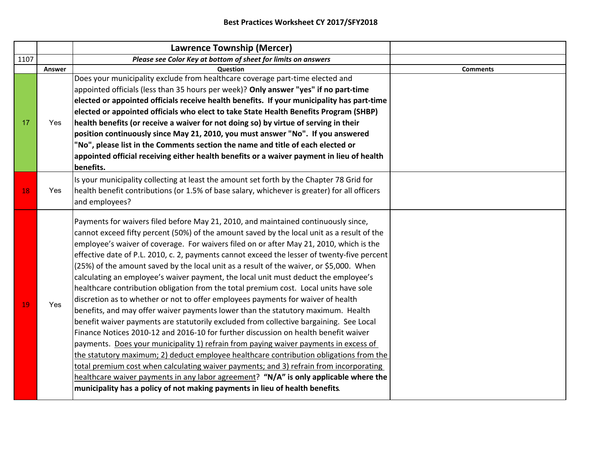|        | <b>Lawrence Township (Mercer)</b>                                                                                                                                                                                                                                                                                                                                                                                                                                                                                                                                                                                                                                                                                                                                                                                                                                                                                                                                                                                        |                                                                                                                                                                                                                                                                                                                                                                                                                                                                                                                                                                                                                                                                                                                                                                                                                                                                                                                                                                                                                                                                                                                       |
|--------|--------------------------------------------------------------------------------------------------------------------------------------------------------------------------------------------------------------------------------------------------------------------------------------------------------------------------------------------------------------------------------------------------------------------------------------------------------------------------------------------------------------------------------------------------------------------------------------------------------------------------------------------------------------------------------------------------------------------------------------------------------------------------------------------------------------------------------------------------------------------------------------------------------------------------------------------------------------------------------------------------------------------------|-----------------------------------------------------------------------------------------------------------------------------------------------------------------------------------------------------------------------------------------------------------------------------------------------------------------------------------------------------------------------------------------------------------------------------------------------------------------------------------------------------------------------------------------------------------------------------------------------------------------------------------------------------------------------------------------------------------------------------------------------------------------------------------------------------------------------------------------------------------------------------------------------------------------------------------------------------------------------------------------------------------------------------------------------------------------------------------------------------------------------|
|        | Please see Color Key at bottom of sheet for limits on answers                                                                                                                                                                                                                                                                                                                                                                                                                                                                                                                                                                                                                                                                                                                                                                                                                                                                                                                                                            |                                                                                                                                                                                                                                                                                                                                                                                                                                                                                                                                                                                                                                                                                                                                                                                                                                                                                                                                                                                                                                                                                                                       |
| Answer | Question                                                                                                                                                                                                                                                                                                                                                                                                                                                                                                                                                                                                                                                                                                                                                                                                                                                                                                                                                                                                                 | <b>Comments</b>                                                                                                                                                                                                                                                                                                                                                                                                                                                                                                                                                                                                                                                                                                                                                                                                                                                                                                                                                                                                                                                                                                       |
| Yes    | appointed officials (less than 35 hours per week)? Only answer "yes" if no part-time<br>"No", please list in the Comments section the name and title of each elected or<br>appointed official receiving either health benefits or a waiver payment in lieu of health                                                                                                                                                                                                                                                                                                                                                                                                                                                                                                                                                                                                                                                                                                                                                     |                                                                                                                                                                                                                                                                                                                                                                                                                                                                                                                                                                                                                                                                                                                                                                                                                                                                                                                                                                                                                                                                                                                       |
| Yes    |                                                                                                                                                                                                                                                                                                                                                                                                                                                                                                                                                                                                                                                                                                                                                                                                                                                                                                                                                                                                                          |                                                                                                                                                                                                                                                                                                                                                                                                                                                                                                                                                                                                                                                                                                                                                                                                                                                                                                                                                                                                                                                                                                                       |
| Yes    | Payments for waivers filed before May 21, 2010, and maintained continuously since,<br>cannot exceed fifty percent (50%) of the amount saved by the local unit as a result of the<br>employee's waiver of coverage. For waivers filed on or after May 21, 2010, which is the<br>effective date of P.L. 2010, c. 2, payments cannot exceed the lesser of twenty-five percent<br>(25%) of the amount saved by the local unit as a result of the waiver, or \$5,000. When<br>calculating an employee's waiver payment, the local unit must deduct the employee's<br>Finance Notices 2010-12 and 2016-10 for further discussion on health benefit waiver<br>payments. Does your municipality 1) refrain from paying waiver payments in excess of<br>the statutory maximum; 2) deduct employee healthcare contribution obligations from the<br>total premium cost when calculating waiver payments; and 3) refrain from incorporating<br>healthcare waiver payments in any labor agreement? "N/A" is only applicable where the |                                                                                                                                                                                                                                                                                                                                                                                                                                                                                                                                                                                                                                                                                                                                                                                                                                                                                                                                                                                                                                                                                                                       |
|        |                                                                                                                                                                                                                                                                                                                                                                                                                                                                                                                                                                                                                                                                                                                                                                                                                                                                                                                                                                                                                          | Does your municipality exclude from healthcare coverage part-time elected and<br>elected or appointed officials receive health benefits. If your municipality has part-time<br>elected or appointed officials who elect to take State Health Benefits Program (SHBP)<br>health benefits (or receive a waiver for not doing so) by virtue of serving in their<br>position continuously since May 21, 2010, you must answer "No". If you answered<br>benefits.<br>Is your municipality collecting at least the amount set forth by the Chapter 78 Grid for<br>health benefit contributions (or 1.5% of base salary, whichever is greater) for all officers<br>and employees?<br>healthcare contribution obligation from the total premium cost. Local units have sole<br>discretion as to whether or not to offer employees payments for waiver of health<br>benefits, and may offer waiver payments lower than the statutory maximum. Health<br>benefit waiver payments are statutorily excluded from collective bargaining. See Local<br>municipality has a policy of not making payments in lieu of health benefits. |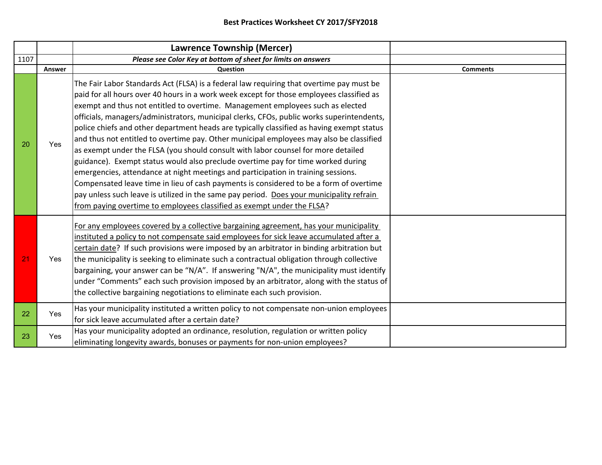|      |            | Lawrence Township (Mercer)                                                                                                                                                                                                                                                                                                                                                                                                                                                                                                                                                                                                                                                                                                                                                                                                                                                                                                                                                                                                                                                                |                 |
|------|------------|-------------------------------------------------------------------------------------------------------------------------------------------------------------------------------------------------------------------------------------------------------------------------------------------------------------------------------------------------------------------------------------------------------------------------------------------------------------------------------------------------------------------------------------------------------------------------------------------------------------------------------------------------------------------------------------------------------------------------------------------------------------------------------------------------------------------------------------------------------------------------------------------------------------------------------------------------------------------------------------------------------------------------------------------------------------------------------------------|-----------------|
| 1107 |            | Please see Color Key at bottom of sheet for limits on answers                                                                                                                                                                                                                                                                                                                                                                                                                                                                                                                                                                                                                                                                                                                                                                                                                                                                                                                                                                                                                             |                 |
|      | Answer     | <b>Question</b>                                                                                                                                                                                                                                                                                                                                                                                                                                                                                                                                                                                                                                                                                                                                                                                                                                                                                                                                                                                                                                                                           | <b>Comments</b> |
| 20   | Yes        | The Fair Labor Standards Act (FLSA) is a federal law requiring that overtime pay must be<br>paid for all hours over 40 hours in a work week except for those employees classified as<br>exempt and thus not entitled to overtime. Management employees such as elected<br>officials, managers/administrators, municipal clerks, CFOs, public works superintendents,<br>police chiefs and other department heads are typically classified as having exempt status<br>and thus not entitled to overtime pay. Other municipal employees may also be classified<br>as exempt under the FLSA (you should consult with labor counsel for more detailed<br>guidance). Exempt status would also preclude overtime pay for time worked during<br>emergencies, attendance at night meetings and participation in training sessions.<br>Compensated leave time in lieu of cash payments is considered to be a form of overtime<br>pay unless such leave is utilized in the same pay period. Does your municipality refrain<br>from paying overtime to employees classified as exempt under the FLSA? |                 |
| 21   | Yes        | For any employees covered by a collective bargaining agreement, has your municipality<br>instituted a policy to not compensate said employees for sick leave accumulated after a<br>certain date? If such provisions were imposed by an arbitrator in binding arbitration but<br>the municipality is seeking to eliminate such a contractual obligation through collective<br>bargaining, your answer can be "N/A". If answering "N/A", the municipality must identify<br>under "Comments" each such provision imposed by an arbitrator, along with the status of<br>the collective bargaining negotiations to eliminate each such provision.                                                                                                                                                                                                                                                                                                                                                                                                                                             |                 |
| 22   | <b>Yes</b> | Has your municipality instituted a written policy to not compensate non-union employees<br>for sick leave accumulated after a certain date?                                                                                                                                                                                                                                                                                                                                                                                                                                                                                                                                                                                                                                                                                                                                                                                                                                                                                                                                               |                 |
| 23   | Yes        | Has your municipality adopted an ordinance, resolution, regulation or written policy<br>eliminating longevity awards, bonuses or payments for non-union employees?                                                                                                                                                                                                                                                                                                                                                                                                                                                                                                                                                                                                                                                                                                                                                                                                                                                                                                                        |                 |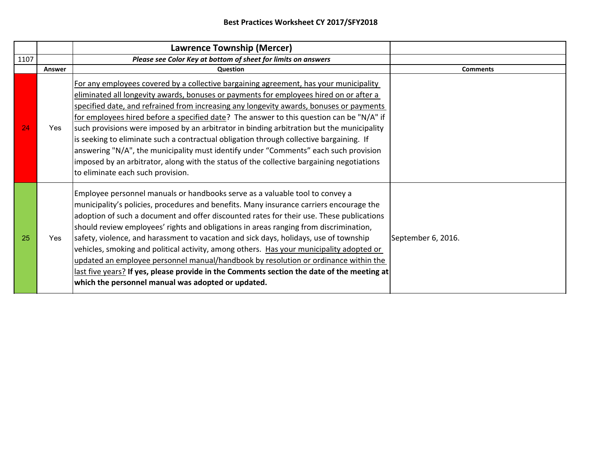|      |        | <b>Lawrence Township (Mercer)</b>                                                                                                                                                                                                                                                                                                                                                                                                                                                                                                                                                                                                                                                                                                                                                            |                    |
|------|--------|----------------------------------------------------------------------------------------------------------------------------------------------------------------------------------------------------------------------------------------------------------------------------------------------------------------------------------------------------------------------------------------------------------------------------------------------------------------------------------------------------------------------------------------------------------------------------------------------------------------------------------------------------------------------------------------------------------------------------------------------------------------------------------------------|--------------------|
| 1107 |        | Please see Color Key at bottom of sheet for limits on answers                                                                                                                                                                                                                                                                                                                                                                                                                                                                                                                                                                                                                                                                                                                                |                    |
|      | Answer | <b>Question</b>                                                                                                                                                                                                                                                                                                                                                                                                                                                                                                                                                                                                                                                                                                                                                                              | <b>Comments</b>    |
| 24   | Yes    | For any employees covered by a collective bargaining agreement, has your municipality<br>eliminated all longevity awards, bonuses or payments for employees hired on or after a<br>specified date, and refrained from increasing any longevity awards, bonuses or payments<br>for employees hired before a specified date? The answer to this question can be "N/A" if<br>such provisions were imposed by an arbitrator in binding arbitration but the municipality<br>is seeking to eliminate such a contractual obligation through collective bargaining. If<br>answering "N/A", the municipality must identify under "Comments" each such provision<br>imposed by an arbitrator, along with the status of the collective bargaining negotiations<br>to eliminate each such provision.     |                    |
| 25   | Yes    | Employee personnel manuals or handbooks serve as a valuable tool to convey a<br>municipality's policies, procedures and benefits. Many insurance carriers encourage the<br>adoption of such a document and offer discounted rates for their use. These publications<br>should review employees' rights and obligations in areas ranging from discrimination,<br>safety, violence, and harassment to vacation and sick days, holidays, use of township<br>vehicles, smoking and political activity, among others. Has your municipality adopted or<br>updated an employee personnel manual/handbook by resolution or ordinance within the<br>last five years? If yes, please provide in the Comments section the date of the meeting at<br>which the personnel manual was adopted or updated. | September 6, 2016. |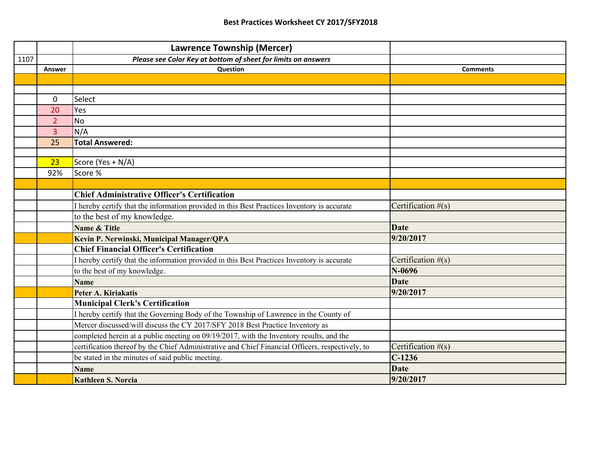|      |                | <b>Lawrence Township (Mercer)</b>                                                                |                      |
|------|----------------|--------------------------------------------------------------------------------------------------|----------------------|
| 1107 |                | Please see Color Key at bottom of sheet for limits on answers                                    |                      |
|      | Answer         | Question                                                                                         | <b>Comments</b>      |
|      |                |                                                                                                  |                      |
|      |                |                                                                                                  |                      |
|      | $\mathbf 0$    | Select                                                                                           |                      |
|      | 20             | Yes                                                                                              |                      |
|      | $\overline{2}$ | <b>No</b>                                                                                        |                      |
|      | 3              | N/A                                                                                              |                      |
|      | 25             | <b>Total Answered:</b>                                                                           |                      |
|      |                |                                                                                                  |                      |
|      | 23             | Score (Yes + N/A)                                                                                |                      |
|      | 92%            | Score %                                                                                          |                      |
|      |                |                                                                                                  |                      |
|      |                | <b>Chief Administrative Officer's Certification</b>                                              |                      |
|      |                | I hereby certify that the information provided in this Best Practices Inventory is accurate      | Certification $#(s)$ |
|      |                | to the best of my knowledge.                                                                     |                      |
|      |                | Name & Title                                                                                     | <b>Date</b>          |
|      |                | Kevin P. Nerwinski, Municipal Manager/QPA                                                        | 9/20/2017            |
|      |                | <b>Chief Financial Officer's Certification</b>                                                   |                      |
|      |                | I hereby certify that the information provided in this Best Practices Inventory is accurate      | Certification $#(s)$ |
|      |                | to the best of my knowledge.                                                                     | $N-0696$             |
|      |                | <b>Name</b>                                                                                      | <b>Date</b>          |
|      |                | Peter A. Kiriakatis                                                                              | 9/20/2017            |
|      |                | <b>Municipal Clerk's Certification</b>                                                           |                      |
|      |                | I hereby certify that the Governing Body of the Township of Lawrence in the County of            |                      |
|      |                | Mercer discussed/will discuss the CY 2017/SFY 2018 Best Practice Inventory as                    |                      |
|      |                | completed herein at a public meeting on 09/19/2017, with the Inventory results, and the          |                      |
|      |                | certification thereof by the Chief Administrative and Chief Financial Officers, respectively, to | Certification $#(s)$ |
|      |                | be stated in the minutes of said public meeting.                                                 | $C-1236$             |
|      |                | <b>Name</b>                                                                                      | <b>Date</b>          |
|      |                | <b>Kathleen S. Norcia</b>                                                                        | 9/20/2017            |